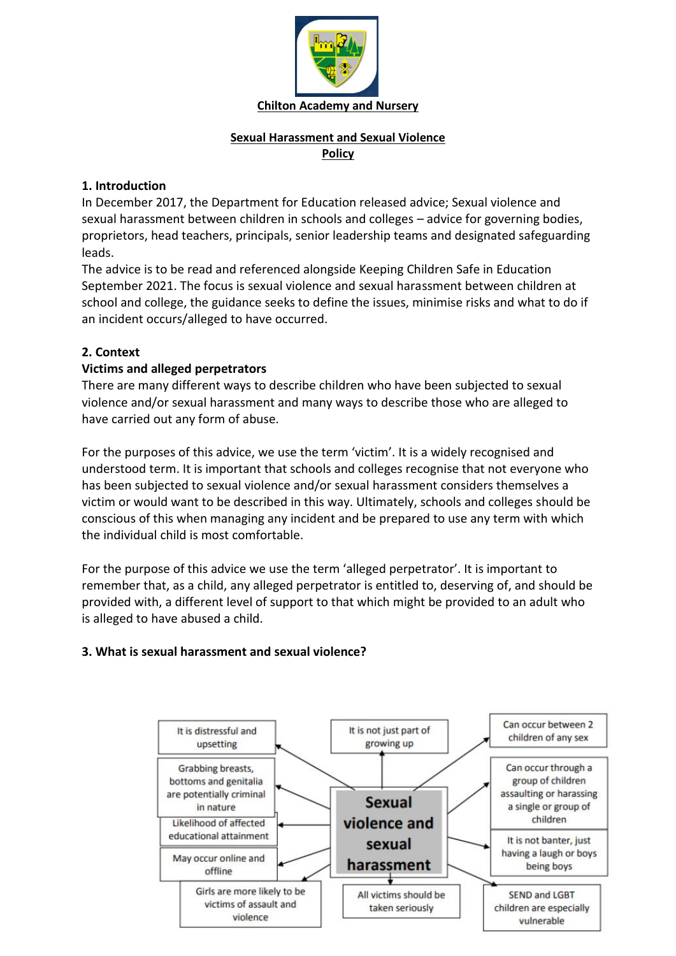

# **Sexual Harassment and Sexual Violence Policy**

## **1. Introduction**

In December 2017, the Department for Education released advice; Sexual violence and sexual harassment between children in schools and colleges – advice for governing bodies, proprietors, head teachers, principals, senior leadership teams and designated safeguarding leads.

The advice is to be read and referenced alongside Keeping Children Safe in Education September 2021. The focus is sexual violence and sexual harassment between children at school and college, the guidance seeks to define the issues, minimise risks and what to do if an incident occurs/alleged to have occurred.

## **2. Context**

## **Victims and alleged perpetrators**

There are many different ways to describe children who have been subjected to sexual violence and/or sexual harassment and many ways to describe those who are alleged to have carried out any form of abuse.

For the purposes of this advice, we use the term 'victim'. It is a widely recognised and understood term. It is important that schools and colleges recognise that not everyone who has been subjected to sexual violence and/or sexual harassment considers themselves a victim or would want to be described in this way. Ultimately, schools and colleges should be conscious of this when managing any incident and be prepared to use any term with which the individual child is most comfortable.

For the purpose of this advice we use the term 'alleged perpetrator'. It is important to remember that, as a child, any alleged perpetrator is entitled to, deserving of, and should be provided with, a different level of support to that which might be provided to an adult who is alleged to have abused a child.

# **3. What is sexual harassment and sexual violence?**

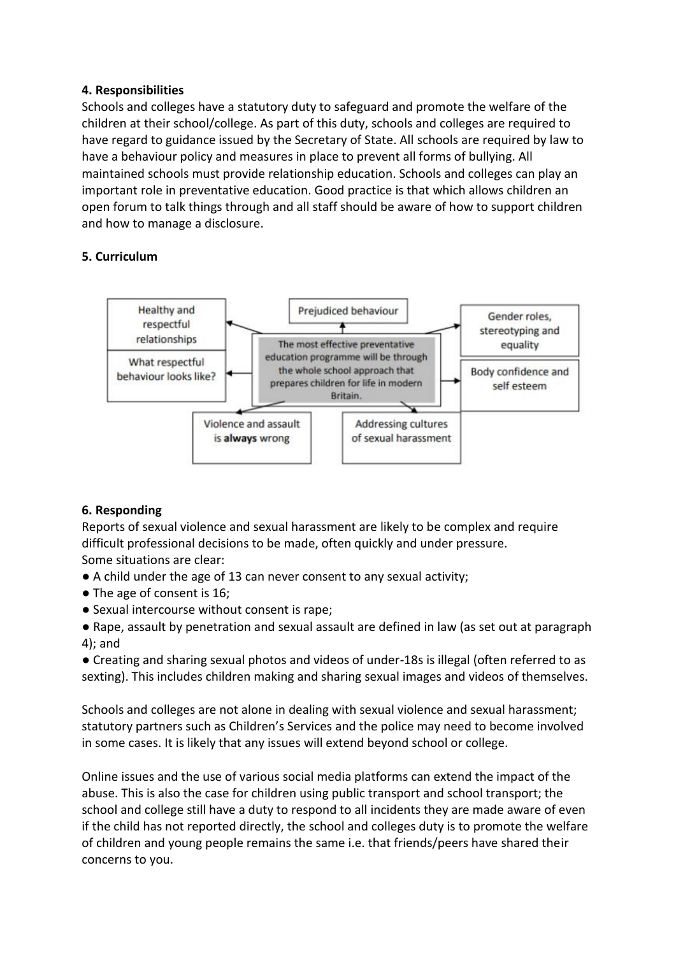### **4. Responsibilities**

Schools and colleges have a statutory duty to safeguard and promote the welfare of the children at their school/college. As part of this duty, schools and colleges are required to have regard to guidance issued by the Secretary of State. All schools are required by law to have a behaviour policy and measures in place to prevent all forms of bullying. All maintained schools must provide relationship education. Schools and colleges can play an important role in preventative education. Good practice is that which allows children an open forum to talk things through and all staff should be aware of how to support children and how to manage a disclosure.

### **5. Curriculum**



### **6. Responding**

Reports of sexual violence and sexual harassment are likely to be complex and require difficult professional decisions to be made, often quickly and under pressure. Some situations are clear:

- A child under the age of 13 can never consent to any sexual activity;
- The age of consent is 16;
- Sexual intercourse without consent is rape;
- Rape, assault by penetration and sexual assault are defined in law (as set out at paragraph 4); and

● Creating and sharing sexual photos and videos of under-18s is illegal (often referred to as sexting). This includes children making and sharing sexual images and videos of themselves.

Schools and colleges are not alone in dealing with sexual violence and sexual harassment; statutory partners such as Children's Services and the police may need to become involved in some cases. It is likely that any issues will extend beyond school or college.

Online issues and the use of various social media platforms can extend the impact of the abuse. This is also the case for children using public transport and school transport; the school and college still have a duty to respond to all incidents they are made aware of even if the child has not reported directly, the school and colleges duty is to promote the welfare of children and young people remains the same i.e. that friends/peers have shared their concerns to you.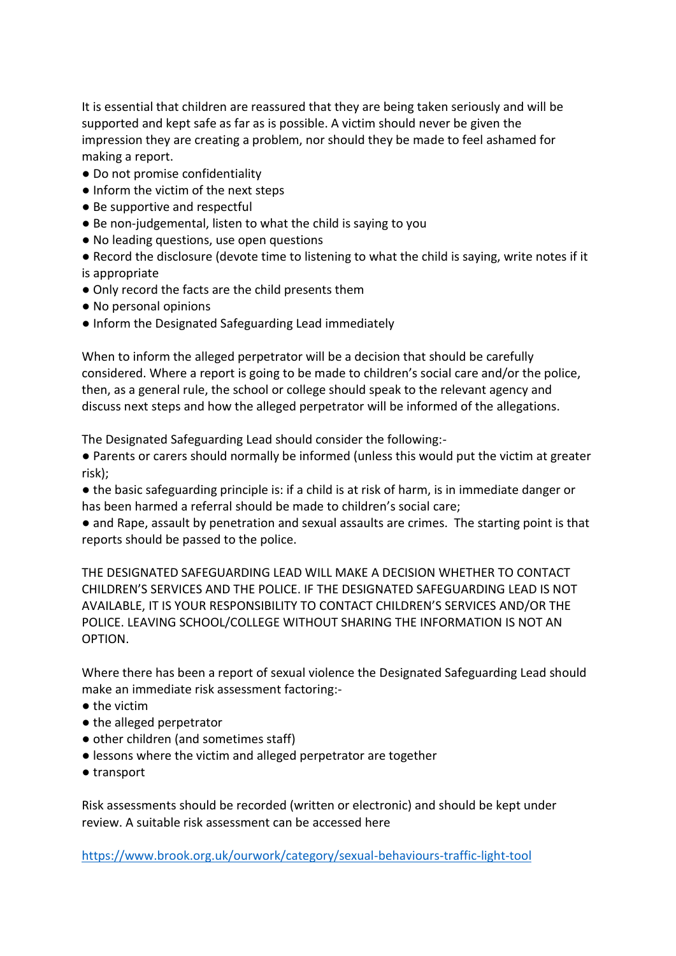It is essential that children are reassured that they are being taken seriously and will be supported and kept safe as far as is possible. A victim should never be given the impression they are creating a problem, nor should they be made to feel ashamed for making a report.

- Do not promise confidentiality
- Inform the victim of the next steps
- Be supportive and respectful
- Be non-judgemental, listen to what the child is saying to you
- No leading questions, use open questions
- Record the disclosure (devote time to listening to what the child is saying, write notes if it is appropriate
- Only record the facts are the child presents them
- No personal opinions
- Inform the Designated Safeguarding Lead immediately

When to inform the alleged perpetrator will be a decision that should be carefully considered. Where a report is going to be made to children's social care and/or the police, then, as a general rule, the school or college should speak to the relevant agency and discuss next steps and how the alleged perpetrator will be informed of the allegations.

The Designated Safeguarding Lead should consider the following:-

● Parents or carers should normally be informed (unless this would put the victim at greater risk);

● the basic safeguarding principle is: if a child is at risk of harm, is in immediate danger or has been harmed a referral should be made to children's social care;

● and Rape, assault by penetration and sexual assaults are crimes. The starting point is that reports should be passed to the police.

THE DESIGNATED SAFEGUARDING LEAD WILL MAKE A DECISION WHETHER TO CONTACT CHILDREN'S SERVICES AND THE POLICE. IF THE DESIGNATED SAFEGUARDING LEAD IS NOT AVAILABLE, IT IS YOUR RESPONSIBILITY TO CONTACT CHILDREN'S SERVICES AND/OR THE POLICE. LEAVING SCHOOL/COLLEGE WITHOUT SHARING THE INFORMATION IS NOT AN OPTION.

Where there has been a report of sexual violence the Designated Safeguarding Lead should make an immediate risk assessment factoring:-

- the victim
- the alleged perpetrator
- other children (and sometimes staff)
- lessons where the victim and alleged perpetrator are together
- transport

Risk assessments should be recorded (written or electronic) and should be kept under review. A suitable risk assessment can be accessed here

<https://www.brook.org.uk/ourwork/category/sexual-behaviours-traffic-light-tool>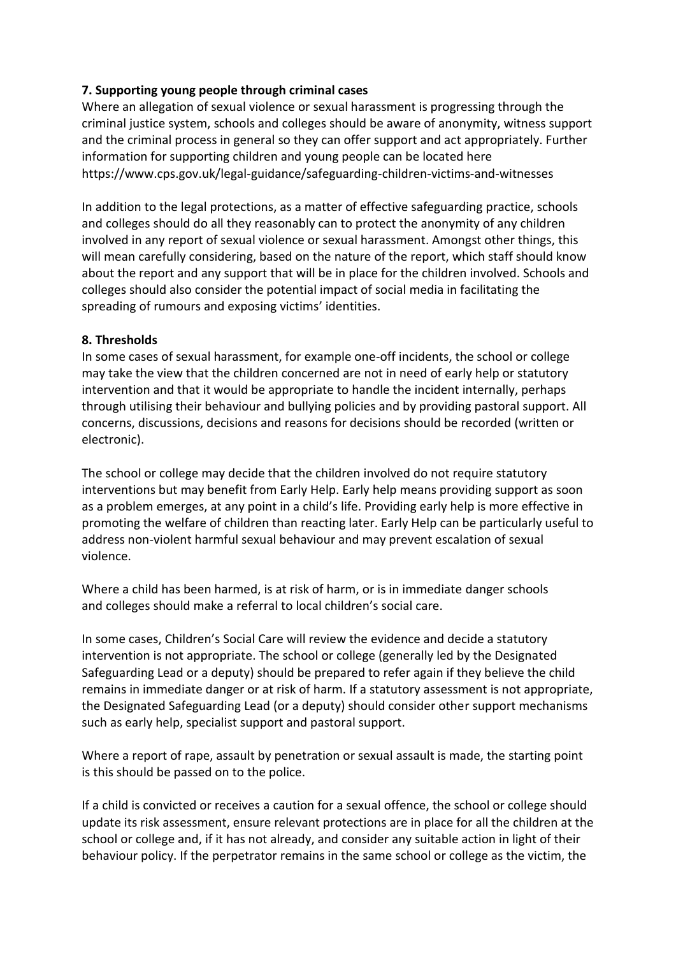## **7. Supporting young people through criminal cases**

Where an allegation of sexual violence or sexual harassment is progressing through the criminal justice system, schools and colleges should be aware of anonymity, witness support and the criminal process in general so they can offer support and act appropriately. Further information for supporting children and young people can be located here https://www.cps.gov.uk/legal-guidance/safeguarding-children-victims-and-witnesses

In addition to the legal protections, as a matter of effective safeguarding practice, schools and colleges should do all they reasonably can to protect the anonymity of any children involved in any report of sexual violence or sexual harassment. Amongst other things, this will mean carefully considering, based on the nature of the report, which staff should know about the report and any support that will be in place for the children involved. Schools and colleges should also consider the potential impact of social media in facilitating the spreading of rumours and exposing victims' identities.

#### **8. Thresholds**

In some cases of sexual harassment, for example one-off incidents, the school or college may take the view that the children concerned are not in need of early help or statutory intervention and that it would be appropriate to handle the incident internally, perhaps through utilising their behaviour and bullying policies and by providing pastoral support. All concerns, discussions, decisions and reasons for decisions should be recorded (written or electronic).

The school or college may decide that the children involved do not require statutory interventions but may benefit from Early Help. Early help means providing support as soon as a problem emerges, at any point in a child's life. Providing early help is more effective in promoting the welfare of children than reacting later. Early Help can be particularly useful to address non-violent harmful sexual behaviour and may prevent escalation of sexual violence.

Where a child has been harmed, is at risk of harm, or is in immediate danger schools and colleges should make a referral to local children's social care.

In some cases, Children's Social Care will review the evidence and decide a statutory intervention is not appropriate. The school or college (generally led by the Designated Safeguarding Lead or a deputy) should be prepared to refer again if they believe the child remains in immediate danger or at risk of harm. If a statutory assessment is not appropriate, the Designated Safeguarding Lead (or a deputy) should consider other support mechanisms such as early help, specialist support and pastoral support.

Where a report of rape, assault by penetration or sexual assault is made, the starting point is this should be passed on to the police.

If a child is convicted or receives a caution for a sexual offence, the school or college should update its risk assessment, ensure relevant protections are in place for all the children at the school or college and, if it has not already, and consider any suitable action in light of their behaviour policy. If the perpetrator remains in the same school or college as the victim, the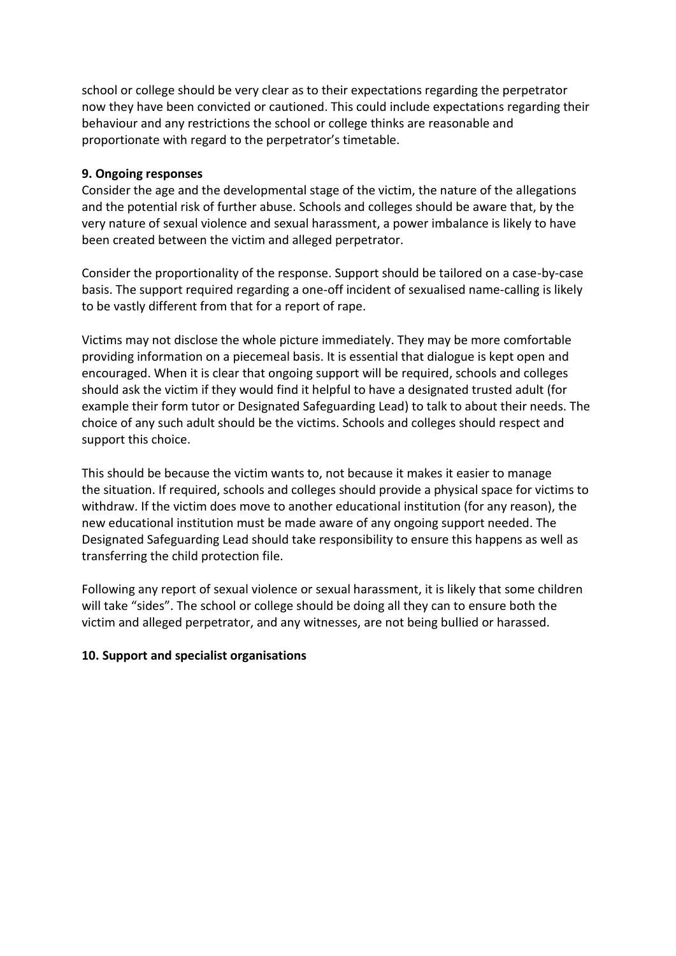school or college should be very clear as to their expectations regarding the perpetrator now they have been convicted or cautioned. This could include expectations regarding their behaviour and any restrictions the school or college thinks are reasonable and proportionate with regard to the perpetrator's timetable.

#### **9. Ongoing responses**

Consider the age and the developmental stage of the victim, the nature of the allegations and the potential risk of further abuse. Schools and colleges should be aware that, by the very nature of sexual violence and sexual harassment, a power imbalance is likely to have been created between the victim and alleged perpetrator.

Consider the proportionality of the response. Support should be tailored on a case-by-case basis. The support required regarding a one-off incident of sexualised name-calling is likely to be vastly different from that for a report of rape.

Victims may not disclose the whole picture immediately. They may be more comfortable providing information on a piecemeal basis. It is essential that dialogue is kept open and encouraged. When it is clear that ongoing support will be required, schools and colleges should ask the victim if they would find it helpful to have a designated trusted adult (for example their form tutor or Designated Safeguarding Lead) to talk to about their needs. The choice of any such adult should be the victims. Schools and colleges should respect and support this choice.

This should be because the victim wants to, not because it makes it easier to manage the situation. If required, schools and colleges should provide a physical space for victims to withdraw. If the victim does move to another educational institution (for any reason), the new educational institution must be made aware of any ongoing support needed. The Designated Safeguarding Lead should take responsibility to ensure this happens as well as transferring the child protection file.

Following any report of sexual violence or sexual harassment, it is likely that some children will take "sides". The school or college should be doing all they can to ensure both the victim and alleged perpetrator, and any witnesses, are not being bullied or harassed.

### **10. Support and specialist organisations**